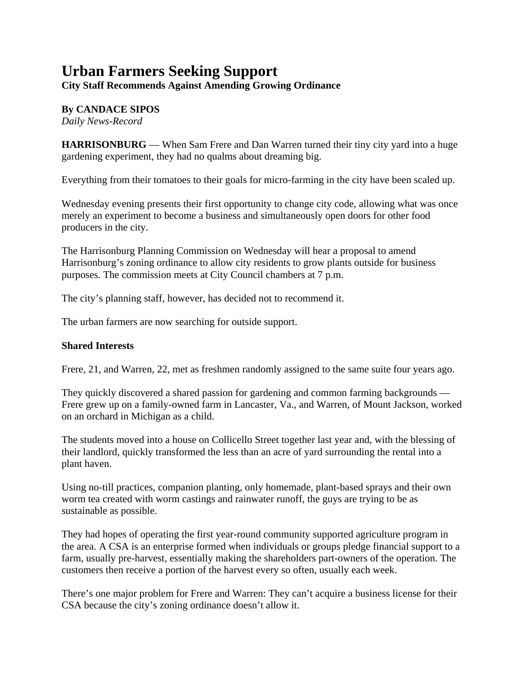## **Urban Farmers Seeking Support**

**City Staff Recommends Against Amending Growing Ordinance**

## **By CANDACE SIPOS**

*Daily News-Record*

**HARRISONBURG** — When Sam Frere and Dan Warren turned their tiny city yard into a huge gardening experiment, they had no qualms about dreaming big.

Everything from their tomatoes to their goals for micro-farming in the city have been scaled up.

Wednesday evening presents their first opportunity to change city code, allowing what was once merely an experiment to become a business and simultaneously open doors for other food producers in the city.

The Harrisonburg Planning Commission on Wednesday will hear a proposal to amend Harrisonburg's zoning ordinance to allow city residents to grow plants outside for business purposes. The commission meets at City Council chambers at 7 p.m.

The city's planning staff, however, has decided not to recommend it.

The urban farmers are now searching for outside support.

## **Shared Interests**

Frere, 21, and Warren, 22, met as freshmen randomly assigned to the same suite four years ago.

They quickly discovered a shared passion for gardening and common farming backgrounds — Frere grew up on a family-owned farm in Lancaster, Va., and Warren, of Mount Jackson, worked on an orchard in Michigan as a child.

The students moved into a house on Collicello Street together last year and, with the blessing of their landlord, quickly transformed the less than an acre of yard surrounding the rental into a plant haven.

Using no-till practices, companion planting, only homemade, plant-based sprays and their own worm tea created with worm castings and rainwater runoff, the guys are trying to be as sustainable as possible.

They had hopes of operating the first year-round community supported agriculture program in the area. A CSA is an enterprise formed when individuals or groups pledge financial support to a farm, usually pre-harvest, essentially making the shareholders part-owners of the operation. The customers then receive a portion of the harvest every so often, usually each week.

There's one major problem for Frere and Warren: They can't acquire a business license for their CSA because the city's zoning ordinance doesn't allow it.